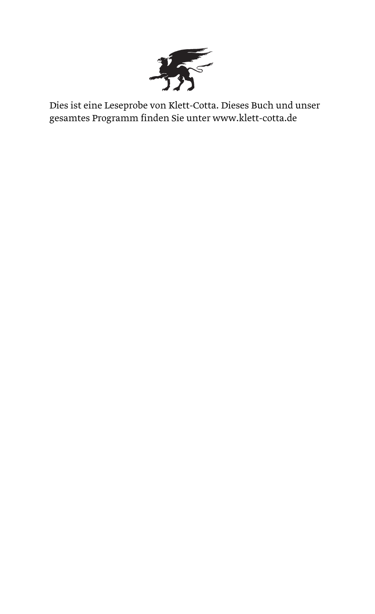

Dies ist eine Leseprobe von Klett-Cotta. Dieses Buch und unser gesamtes Programm finden Sie unter www.klett-cotta.de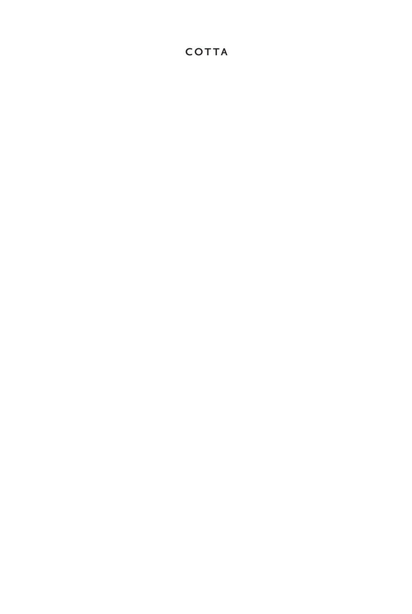# **COTTA**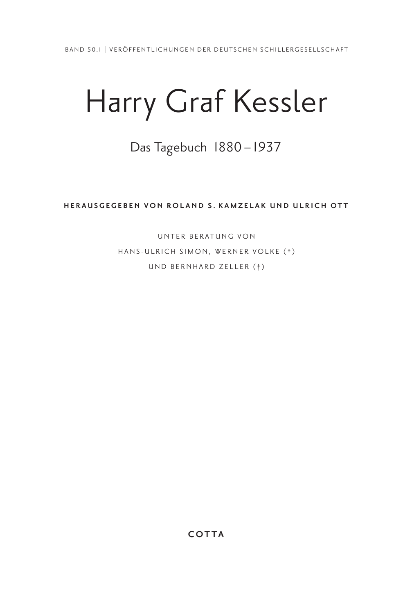# Harry Graf Kessler

# Das Tagebuch 1880 – 1937

**HERAUSGEGEBEN VON ROLAND S. KAMZELAK UND ULRICH OTT** 

UNTER BERATUNG VON HANS-ULRICH SIMON, WERNER VOLKE (†) UND BERNHARD ZELLER (†)

**COTTA**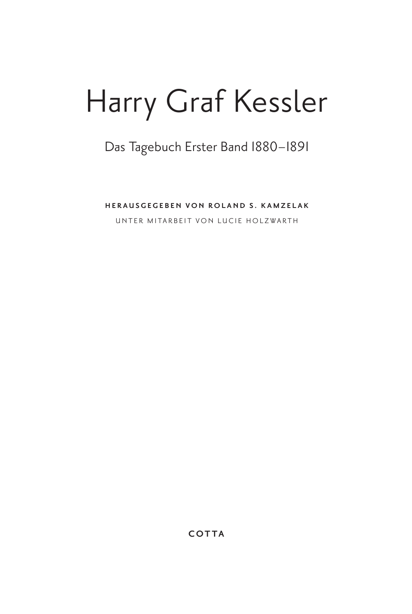# Harry Graf Kessler

# Das Tagebuch Erster Band 1880–1891

**HERAUSGEGEBEN VON ROLAND S. KAMZELAK**

UNTER MITARBEIT VON LUCIE HOLZWARTH

**COTTA**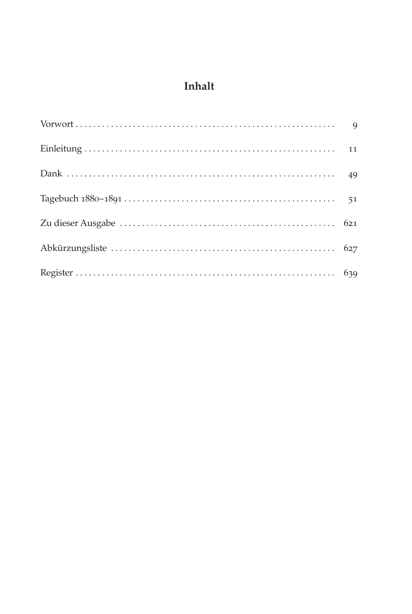# **Inhalt**

| $Vorwort \n \n \n \n \n \n \n \n \n9$ |  |
|---------------------------------------|--|
|                                       |  |
|                                       |  |
|                                       |  |
|                                       |  |
|                                       |  |
|                                       |  |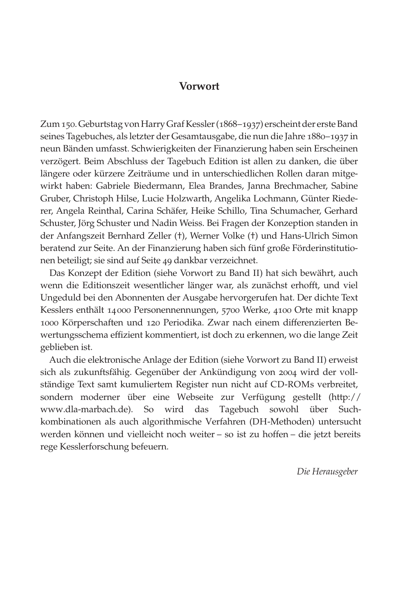# **Vorwort**

Zum 150. Geburtstag von Harry Graf Kessler (1868–1937) erscheint der erste Band seines Tagebuches, als letzter der Gesamtausgabe, die nun die Jahre 1880–1937 in neun Bänden umfasst. Schwierigkeiten der Finanzierung haben sein Erscheinen verzögert. Beim Abschluss der Tagebuch Edition ist allen zu danken, die über längere oder kürzere Zeiträume und in unterschiedlichen Rollen daran mitgewirkt haben: Gabriele Biedermann, Elea Brandes, Janna Brechmacher, Sabine Gruber, Christoph Hilse, Lucie Holzwarth, Angelika Lochmann, Günter Riederer, Angela Reinthal, Carina Schäfer, Heike Schillo, Tina Schumacher, Gerhard Schuster, Jörg Schuster und Nadin Weiss. Bei Fragen der Konzeption standen in der Anfangszeit Bernhard Zeller (†), Werner Volke (†) und Hans-Ulrich Simon beratend zur Seite. An der Finanzierung haben sich fünf große Förderinstitutionen beteiligt; sie sind auf Seite 49 dankbar verzeichnet.

Das Konzept der Edition (siehe Vorwort zu Band II) hat sich bewährt, auch wenn die Editionszeit wesentlicher länger war, als zunächst erhofft, und viel Ungeduld bei den Abonnenten der Ausgabe hervorgerufen hat. Der dichte Text Kesslers enthält 14000 Personennennungen, 5700 Werke, 4100 Orte mit knapp 1000 Körperschaften und 120 Periodika. Zwar nach einem differenzierten Bewertungsschema effizient kommentiert, ist doch zu erkennen, wo die lange Zeit geblieben ist.

 Auch die elektronische Anlage der Edition (siehe Vorwort zu Band II) erweist sich als zukunftsfähig. Gegenüber der Ankündigung von 2004 wird der vollständige Text samt kumuliertem Register nun nicht auf CD-ROMs verbreitet, sondern moderner über eine Webseite zur Verfügung gestellt (http:// www.dla-marbach.de). So wird das Tagebuch sowohl über Suchkombinationen als auch algorithmische Verfahren (DH-Methoden) untersucht werden können und vielleicht noch weiter – so ist zu hoffen – die jetzt bereits rege Kesslerforschung befeuern.

*Die Herausgeber*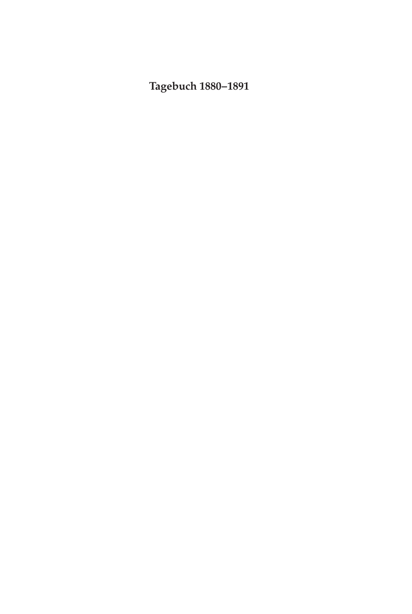# **Tagebuch 1880–1891**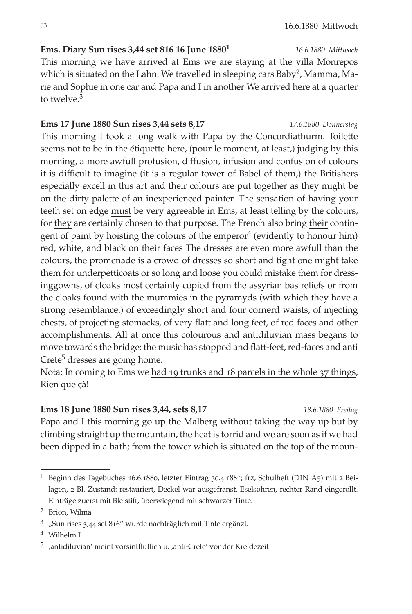53 16.6.1880 Mittwoch

# **Ems. Diary Sun rises 3,44 set 816 16 June 18801** *16.6.1880 Mittwoch*

This morning we have arrived at Ems we are staying at the villa Monrepos which is situated on the Lahn. We travelled in sleeping cars Baby<sup>2</sup>, Mamma, Marie and Sophie in one car and Papa and I in another We arrived here at a quarter to twelve  $3$ 

# **Ems 17 June 1880 Sun rises 3,44 sets 8,17** *17.6.1880 Donnerstag*

This morning I took a long walk with Papa by the Concordiathurm. Toilette seems not to be in the étiquette here, (pour le moment, at least,) judging by this morning, a more awfull profusion, diffusion, infusion and confusion of colours it is difficult to imagine (it is a regular tower of Babel of them,) the Britishers especially excell in this art and their colours are put together as they might be on the dirty palette of an inexperienced painter. The sensation of having your teeth set on edge must be very agreeable in Ems, at least telling by the colours, for they are certainly chosen to that purpose. The French also bring their contingent of paint by hoisting the colours of the emperor<sup>4</sup> (evidently to honour him) red, white, and black on their faces The dresses are even more awfull than the colours, the promenade is a crowd of dresses so short and tight one might take them for underpetticoats or so long and loose you could mistake them for dressinggowns, of cloaks most certainly copied from the assyrian bas reliefs or from the cloaks found with the mummies in the pyramyds (with which they have a strong resemblance,) of exceedingly short and four cornerd waists, of injecting chests, of projecting stomacks, of very flatt and long feet, of red faces and other accomplishments. All at once this colourous and antidiluvian mass begans to move towards the bridge: the music has stopped and flatt-feet, red-faces and anti  $Crete<sup>5</sup>$  dresses are going home.

Nota: In coming to Ems we had 19 trunks and 18 parcels in the whole 37 things, Rien que çà!

# **Ems 18 June 1880 Sun rises 3,44, sets 8,17** *18.6.1880 Freitag* Papa and I this morning go up the Malberg without taking the way up but by climbing straight up the mountain, the heat is torrid and we are soon as if we had been dipped in a bath; from the tower which is situated on the top of the moun-

4 Wilhelm I.

<sup>1</sup> Beginn des Tagebuches 16.6.1880, letzter Eintrag 30.4.1881; frz, Schulheft (DIN A5) mit 2 Beilagen, 2 Bl. Zustand: restauriert, Deckel war ausgefranst, Eselsohren, rechter Rand eingerollt. Einträge zuerst mit Bleistift, überwiegend mit schwarzer Tinte.

<sup>2</sup> Brion, Wilma

<sup>3</sup> "Sun rises 3,44 set 816" wurde nachträglich mit Tinte ergänzt.

<sup>&</sup>lt;sup>5</sup> ,antidiluvian' meint vorsintflutlich u. ,anti-Crete' vor der Kreidezeit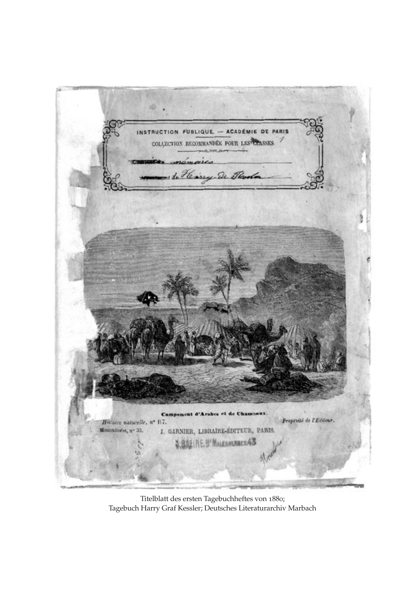

Titelblatt des ersten Tagebuchheftes von 1880; Tagebuch Harry Graf Kessler; Deutsches Literaturarchiv Marbach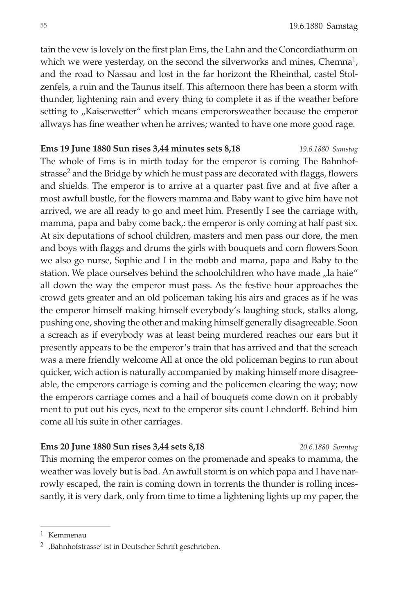tain the vew is lovely on the first plan Ems, the Lahn and the Concordiathurm on which we were yesterday, on the second the silverworks and mines, Chemna<sup>1</sup>, and the road to Nassau and lost in the far horizont the Rheinthal, castel Stolzenfels, a ruin and the Taunus itself. This afternoon there has been a storm with thunder, lightening rain and every thing to complete it as if the weather before setting to "Kaiserwetter" which means emperorsweather because the emperor allways has fine weather when he arrives; wanted to have one more good rage.

## **Ems 19 June 1880 Sun rises 3,44 minutes sets 8,18** *19.6.1880 Samstag*

The whole of Ems is in mirth today for the emperor is coming The Bahnhofstrasse<sup>2</sup> and the Bridge by which he must pass are decorated with flaggs, flowers and shields. The emperor is to arrive at a quarter past five and at five after a most awfull bustle, for the flowers mamma and Baby want to give him have not arrived, we are all ready to go and meet him. Presently I see the carriage with, mamma, papa and baby come back,: the emperor is only coming at half past six. At six deputations of school children, masters and men pass our dore, the men and boys with flaggs and drums the girls with bouquets and corn flowers Soon we also go nurse, Sophie and I in the mobb and mama, papa and Baby to the station. We place ourselves behind the schoolchildren who have made "la haie" all down the way the emperor must pass. As the festive hour approaches the crowd gets greater and an old policeman taking his airs and graces as if he was the emperor himself making himself everybody's laughing stock, stalks along, pushing one, shoving the other and making himself generally disagreeable. Soon a screach as if everybody was at least being murdered reaches our ears but it presently appears to be the emperor's train that has arrived and that the screach was a mere friendly welcome All at once the old policeman begins to run about quicker, wich action is naturally accompanied by making himself more disagreeable, the emperors carriage is coming and the policemen clearing the way; now the emperors carriage comes and a hail of bouquets come down on it probably ment to put out his eyes, next to the emperor sits count Lehndorff. Behind him come all his suite in other carriages.

# **Ems 20 June 1880 Sun rises 3,44 sets 8,18** *20.6.1880 Sonntag*

This morning the emperor comes on the promenade and speaks to mamma, the weather was lovely but is bad. An awfull storm is on which papa and I have narrowly escaped, the rain is coming down in torrents the thunder is rolling incessantly, it is very dark, only from time to time a lightening lights up my paper, the

<sup>1</sup> Kemmenau

<sup>&</sup>lt;sup>2</sup> ,Bahnhofstrasse' ist in Deutscher Schrift geschrieben.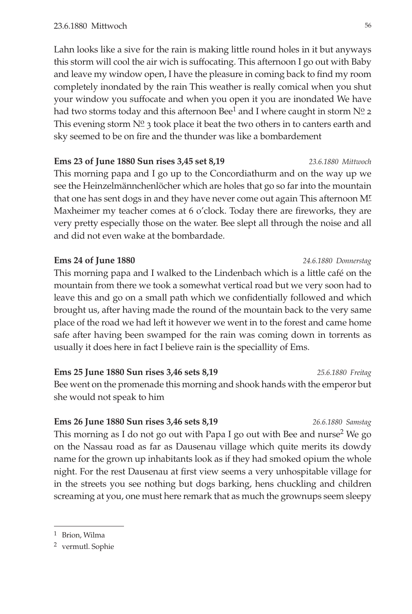Lahn looks like a sive for the rain is making little round holes in it but anyways this storm will cool the air wich is suffocating. This afternoon I go out with Baby and leave my window open, I have the pleasure in coming back to find my room completely inondated by the rain This weather is really comical when you shut your window you suffocate and when you open it you are inondated We have had two storms today and this afternoon Bee<sup>1</sup> and I where caught in storm  $N^{\circ}_{-2}$ This evening storm  $N^{\circ}$  3 took place it beat the two others in to canters earth and sky seemed to be on fire and the thunder was like a bombardement

**Ems 23 of June 1880 Sun rises 3,45 set 8,19** *23.6.1880 Mittwoch* This morning papa and I go up to the Concordiathurm and on the way up we see the Heinzelmännchenlöcher which are holes that go so far into the mountain that one has sent dogs in and they have never come out again This afternoon M<sup>r</sup> Maxheimer my teacher comes at 6 o'clock. Today there are fireworks, they are very pretty especially those on the water. Bee slept all through the noise and all and did not even wake at the bombardade.

# **Ems 24 of June 1880** *24.6.1880 Donnerstag*

This morning papa and I walked to the Lindenbach which is a little café on the mountain from there we took a somewhat vertical road but we very soon had to leave this and go on a small path which we confidentially followed and which brought us, after having made the round of the mountain back to the very same place of the road we had left it however we went in to the forest and came home safe after having been swamped for the rain was coming down in torrents as usually it does here in fact I believe rain is the speciallity of Ems.

**Ems 25 June 1880 Sun rises 3,46 sets 8,19** *25.6.1880 Freitag* Bee went on the promenade this morning and shook hands with the emperor but she would not speak to him

## **Ems 26 June 1880 Sun rises 3,46 sets 8,19** *26.6.1880 Samstag*

This morning as I do not go out with Papa I go out with Bee and nurse<sup>2</sup> We go on the Nassau road as far as Dausenau village which quite merits its dowdy name for the grown up inhabitants look as if they had smoked opium the whole night. For the rest Dausenau at first view seems a very unhospitable village for in the streets you see nothing but dogs barking, hens chuckling and children screaming at you, one must here remark that as much the grownups seem sleepy

<sup>1</sup> Brion, Wilma

<sup>2</sup> vermutl. Sophie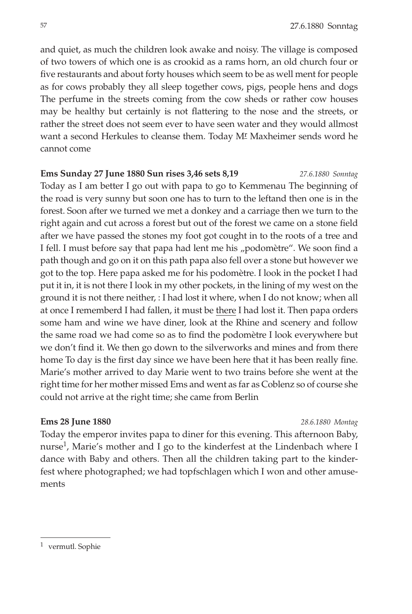57 27.6.1880 Sonntag

and quiet, as much the children look awake and noisy. The village is composed of two towers of which one is as crookid as a rams horn, an old church four or five restaurants and about forty houses which seem to be as well ment for people as for cows probably they all sleep together cows, pigs, people hens and dogs The perfume in the streets coming from the cow sheds or rather cow houses may be healthy but certainly is not flattering to the nose and the streets, or rather the street does not seem ever to have seen water and they would allmost want a second Herkules to cleanse them. Today M<sup>r</sup> Maxheimer sends word he cannot come

# **Ems Sunday 27 June 1880 Sun rises 3,46 sets 8,19** *27.6.1880 Sonntag*

Today as I am better I go out with papa to go to Kemmenau The beginning of the road is very sunny but soon one has to turn to the leftand then one is in the forest. Soon after we turned we met a donkey and a carriage then we turn to the right again and cut across a forest but out of the forest we came on a stone field after we have passed the stones my foot got cought in to the roots of a tree and I fell. I must before say that papa had lent me his "podomètre". We soon find a path though and go on it on this path papa also fell over a stone but however we got to the top. Here papa asked me for his podomètre. I look in the pocket I had put it in, it is not there I look in my other pockets, in the lining of my west on the ground it is not there neither, : I had lost it where, when I do not know; when all at once I rememberd I had fallen, it must be there I had lost it. Then papa orders some ham and wine we have diner, look at the Rhine and scenery and follow the same road we had come so as to find the podomètre I look everywhere but we don't find it. We then go down to the silverworks and mines and from there home To day is the first day since we have been here that it has been really fine. Marie's mother arrived to day Marie went to two trains before she went at the right time for her mother missed Ems and went as far as Coblenz so of course she could not arrive at the right time; she came from Berlin

# **Ems 28 June 1880** *28.6.1880 Montag*

Today the emperor invites papa to diner for this evening. This afternoon Baby, nurse<sup>1</sup>, Marie's mother and I go to the kinderfest at the Lindenbach where I dance with Baby and others. Then all the children taking part to the kinderfest where photographed; we had topfschlagen which I won and other amusements

<sup>1</sup> vermutl. Sophie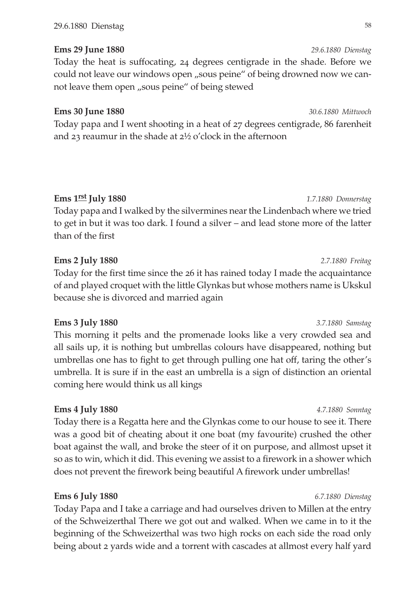# **Ems 29 June 1880** *29.6.1880 Dienstag*

Today the heat is suffocating, 24 degrees centigrade in the shade. Before we could not leave our windows open "sous peine" of being drowned now we cannot leave them open "sous peine" of being stewed

# **Ems 30 June 1880** *30.6.1880 Mittwoch*

Today papa and I went shooting in a heat of 27 degrees centigrade, 86 farenheit and 23 reaumur in the shade at 2½ o'clock in the afternoon

# **Ems 1rst July 1880** *1.7.1880 Donnerstag*

Today papa and I walked by the silvermines near the Lindenbach where we tried to get in but it was too dark. I found a silver – and lead stone more of the latter than of the first

# **Ems 2 July 1880** *2.7.1880 Freitag*

Today for the first time since the 26 it has rained today I made the acquaintance of and played croquet with the little Glynkas but whose mothers name is Ukskul because she is divorced and married again

# **Ems 3 July 1880** *3.7.1880 Samstag*

This morning it pelts and the promenade looks like a very crowded sea and all sails up, it is nothing but umbrellas colours have disappeared, nothing but umbrellas one has to fight to get through pulling one hat off, taring the other's umbrella. It is sure if in the east an umbrella is a sign of distinction an oriental coming here would think us all kings

# **Ems 4 July 1880** *4.7.1880 Sonntag*

Today there is a Regatta here and the Glynkas come to our house to see it. There was a good bit of cheating about it one boat (my favourite) crushed the other boat against the wall, and broke the steer of it on purpose, and allmost upset it so as to win, which it did. This evening we assist to a firework in a shower which does not prevent the firework being beautiful A firework under umbrellas!

# **Ems 6 July 1880** *6.7.1880 Dienstag*

Today Papa and I take a carriage and had ourselves driven to Millen at the entry of the Schweizerthal There we got out and walked. When we came in to it the beginning of the Schweizerthal was two high rocks on each side the road only being about 2 yards wide and a torrent with cascades at allmost every half yard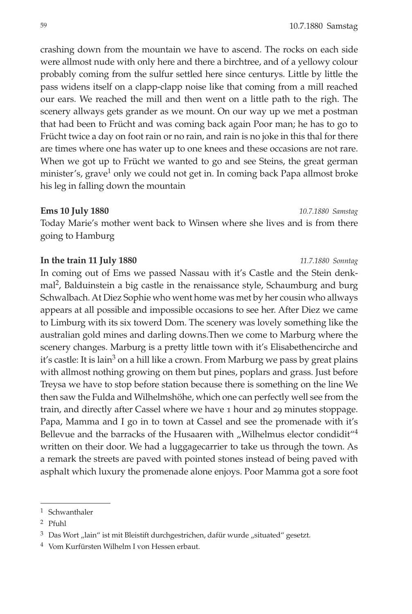crashing down from the mountain we have to ascend. The rocks on each side were allmost nude with only here and there a birchtree, and of a yellowy colour probably coming from the sulfur settled here since centurys. Little by little the pass widens itself on a clapp-clapp noise like that coming from a mill reached our ears. We reached the mill and then went on a little path to the righ. The scenery allways gets grander as we mount. On our way up we met a postman that had been to Frücht and was coming back again Poor man; he has to go to Frücht twice a day on foot rain or no rain, and rain is no joke in this thal for there are times where one has water up to one knees and these occasions are not rare. When we got up to Frücht we wanted to go and see Steins, the great german minister's, grave<sup>1</sup> only we could not get in. In coming back Papa allmost broke his leg in falling down the mountain

## **Ems 10 July 1880** *10.7.1880 Samstag*

Today Marie's mother went back to Winsen where she lives and is from there going to Hamburg

# **In the train 11 July 1880** *11.7.1880 Sonntag*

In coming out of Ems we passed Nassau with it's Castle and the Stein denkmal2, Balduinstein a big castle in the renaissance style, Schaumburg and burg Schwalbach. At Diez Sophie who went home was met by her cousin who allways appears at all possible and impossible occasions to see her. After Diez we came to Limburg with its six towerd Dom. The scenery was lovely something like the australian gold mines and darling downs.Then we come to Marburg where the scenery changes. Marburg is a pretty little town with it's Elisabethencirche and it's castle: It is lain<sup>3</sup> on a hill like a crown. From Marburg we pass by great plains with allmost nothing growing on them but pines, poplars and grass. Just before Treysa we have to stop before station because there is something on the line We then saw the Fulda and Wilhelmshöhe, which one can perfectly well see from the train, and directly after Cassel where we have 1 hour and 29 minutes stoppage. Papa, Mamma and I go in to town at Cassel and see the promenade with it's Bellevue and the barracks of the Husaaren with "Wilhelmus elector condidit" $4$ written on their door. We had a luggagecarrier to take us through the town. As a remark the streets are paved with pointed stones instead of being paved with asphalt which luxury the promenade alone enjoys. Poor Mamma got a sore foot

<sup>1</sup> Schwanthaler

<sup>2</sup> Pfuhl

 $3$  Das Wort "lain" ist mit Bleistift durchgestrichen, dafür wurde "situated" gesetzt.

<sup>4</sup> Vom Kurfürsten Wilhelm I von Hessen erbaut.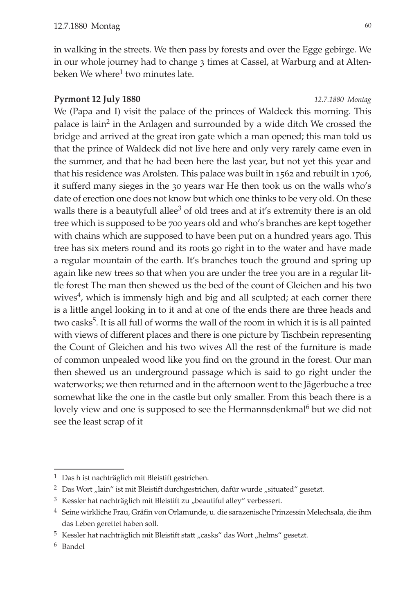in walking in the streets. We then pass by forests and over the Egge gebirge. We in our whole journey had to change 3 times at Cassel, at Warburg and at Altenbeken We where<sup>1</sup> two minutes late.

# **Pyrmont 12 July 1880** *12.7.1880 Montag*

We (Papa and I) visit the palace of the princes of Waldeck this morning. This palace is lain<sup>2</sup> in the Anlagen and surrounded by a wide ditch We crossed the bridge and arrived at the great iron gate which a man opened; this man told us that the prince of Waldeck did not live here and only very rarely came even in the summer, and that he had been here the last year, but not yet this year and that his residence was Arolsten. This palace was built in 1562 and rebuilt in 1706, it sufferd many sieges in the 30 years war He then took us on the walls who's date of erection one does not know but which one thinks to be very old. On these walls there is a beautyfull allee<sup>3</sup> of old trees and at it's extremity there is an old tree which is supposed to be 700 years old and who's branches are kept together with chains which are supposed to have been put on a hundred years ago. This tree has six meters round and its roots go right in to the water and have made a regular mountain of the earth. It's branches touch the ground and spring up again like new trees so that when you are under the tree you are in a regular little forest The man then shewed us the bed of the count of Gleichen and his two wives $<sup>4</sup>$ , which is immensly high and big and all sculpted; at each corner there</sup> is a little angel looking in to it and at one of the ends there are three heads and two casks<sup>5</sup>. It is all full of worms the wall of the room in which it is is all painted with views of different places and there is one picture by Tischbein representing the Count of Gleichen and his two wives All the rest of the furniture is made of common unpealed wood like you find on the ground in the forest. Our man then shewed us an underground passage which is said to go right under the waterworks; we then returned and in the afternoon went to the Jägerbuche a tree somewhat like the one in the castle but only smaller. From this beach there is a lovely view and one is supposed to see the Hermannsdenkmal<sup>6</sup> but we did not see the least scrap of it

<sup>&</sup>lt;sup>1</sup> Das h ist nachträglich mit Bleistift gestrichen.

 $^2\;$  Das Wort "lain" ist mit Bleistift durchgestrichen, dafür wurde "situated" gesetzt.

 $3$  Kessler hat nachträglich mit Bleistift zu "beautiful alley" verbessert.

<sup>4</sup> Seine wirkliche Frau, Gräfin von Orlamunde, u. die sarazenische Prinzessin Melechsala, die ihm das Leben gerettet haben soll.

 $^5\,$ Kessler hat nachträglich mit Bleistift statt "casks" das Wort "helms" gesetzt.

<sup>6</sup> Bandel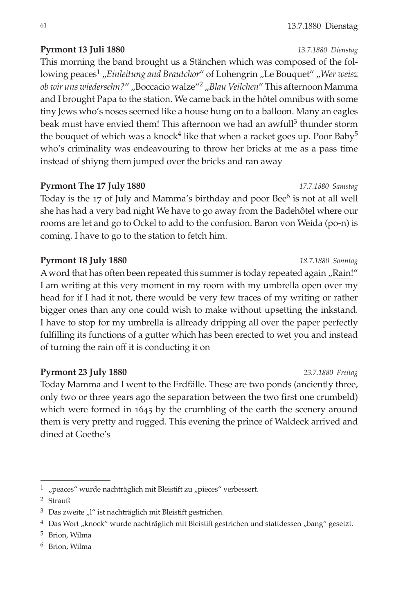# **Pyrmont 13 Juli 1880** *13.7.1880 Dienstag*

This morning the band brought us a Stänchen which was composed of the following peaces<sup>1</sup> "Einleitung and Brautchor" of Lohengrin "Le Bouquet" "Wer weisz *ob wir uns wiedersehn?*" "Boccacio walze"2 "*Blau Veilchen*" This afternoon Mamma and I brought Papa to the station. We came back in the hôtel omnibus with some tiny Jews who's noses seemed like a house hung on to a balloon. Many an eagles beak must have envied them! This afternoon we had an awfull<sup>3</sup> thunder storm the bouquet of which was a knock<sup>4</sup> like that when a racket goes up. Poor Baby<sup>5</sup> who's criminality was endeavouring to throw her bricks at me as a pass time instead of shiyng them jumped over the bricks and ran away

# **Pyrmont The 17 July 1880** *17.7.1880 Samstag*

Today is the 17 of July and Mamma's birthday and poor Bee<sup>6</sup> is not at all well she has had a very bad night We have to go away from the Badehôtel where our rooms are let and go to Ockel to add to the confusion. Baron von Weida (po-n) is coming. I have to go to the station to fetch him.

# **Pyrmont 18 July 1880** *18.7.1880 Sonntag*

A word that has often been repeated this summer is today repeated again "Rain!" I am writing at this very moment in my room with my umbrella open over my head for if I had it not, there would be very few traces of my writing or rather bigger ones than any one could wish to make without upsetting the inkstand. I have to stop for my umbrella is allready dripping all over the paper perfectly fulfilling its functions of a gutter which has been erected to wet you and instead of turning the rain off it is conducting it on

# **Pyrmont 23 July 1880** *23.7.1880 Freitag*

Today Mamma and I went to the Erdfälle. These are two ponds (anciently three, only two or three years ago the separation between the two first one crumbeld) which were formed in 1645 by the crumbling of the earth the scenery around them is very pretty and rugged. This evening the prince of Waldeck arrived and dined at Goethe's

 $^1\;$  "peaces" wurde nachträglich mit Bleistift zu "pieces" verbessert.

<sup>2</sup> Strauß

 $3$  Das zweite "l" ist nachträglich mit Bleistift gestrichen.

<sup>&</sup>lt;sup>4</sup> Das Wort "knock" wurde nachträglich mit Bleistift gestrichen und stattdessen "bang" gesetzt.

<sup>5</sup> Brion, Wilma

<sup>6</sup> Brion, Wilma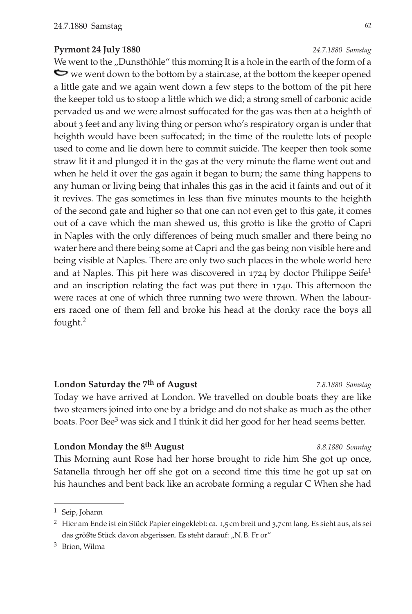## **Pyrmont 24 July 1880** *24.7.1880 Samstag*

We went to the "Dunsthöhle" this morning It is a hole in the earth of the form of a we went down to the bottom by a staircase, at the bottom the keeper opened a little gate and we again went down a few steps to the bottom of the pit here the keeper told us to stoop a little which we did; a strong smell of carbonic acide pervaded us and we were almost suffocated for the gas was then at a heighth of about 3 feet and any living thing or person who's respiratory organ is under that heighth would have been suffocated; in the time of the roulette lots of people used to come and lie down here to commit suicide. The keeper then took some straw lit it and plunged it in the gas at the very minute the flame went out and when he held it over the gas again it began to burn; the same thing happens to any human or living being that inhales this gas in the acid it faints and out of it it revives. The gas sometimes in less than five minutes mounts to the heighth of the second gate and higher so that one can not even get to this gate, it comes out of a cave which the man shewed us, this grotto is like the grotto of Capri in Naples with the only differences of being much smaller and there being no water here and there being some at Capri and the gas being non visible here and being visible at Naples. There are only two such places in the whole world here and at Naples. This pit here was discovered in  $1724$  by doctor Philippe Seife<sup>1</sup> and an inscription relating the fact was put there in 1740. This afternoon the were races at one of which three running two were thrown. When the labourers raced one of them fell and broke his head at the donky race the boys all fought.2

## **London Saturday the 7th of August** *7.8.1880 Samstag*

Today we have arrived at London. We travelled on double boats they are like two steamers joined into one by a bridge and do not shake as much as the other boats. Poor Bee<sup>3</sup> was sick and I think it did her good for her head seems better.

## **London Monday the 8th August** *8.8.1880 Sonntag*

This Morning aunt Rose had her horse brought to ride him She got up once, Satanella through her off she got on a second time this time he got up sat on his haunches and bent back like an acrobate forming a regular C When she had

<sup>1</sup> Seip, Johann

<sup>2</sup> Hier am Ende ist ein Stück Papier eingeklebt: ca. 1,5cm breit und 3,7cm lang. Es sieht aus, als sei das größte Stück davon abgerissen. Es steht darauf: "N.B. Fr or"

<sup>3</sup> Brion, Wilma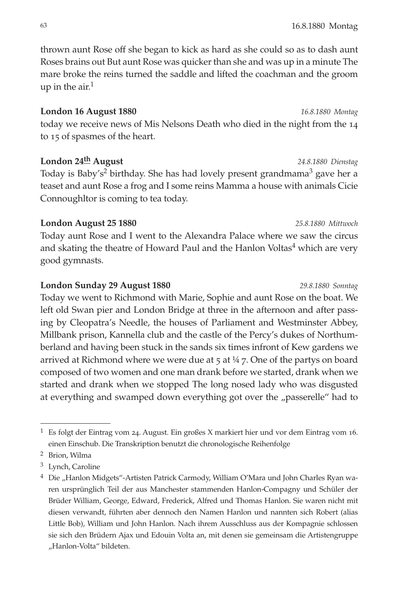63 16.8.1880 Montag

thrown aunt Rose off she began to kick as hard as she could so as to dash aunt Roses brains out But aunt Rose was quicker than she and was up in a minute The mare broke the reins turned the saddle and lifted the coachman and the groom up in the air. $<sup>1</sup>$ </sup>

# **London 16 August 1880** *16.8.1880 Montag*

today we receive news of Mis Nelsons Death who died in the night from the 14 to 15 of spasmes of the heart.

# **London 24th August** *24.8.1880 Dienstag*

Today is Baby's<sup>2</sup> birthday. She has had lovely present grandmama<sup>3</sup> gave her a teaset and aunt Rose a frog and I some reins Mamma a house with animals Cicie Connoughltor is coming to tea today.

# **London August 25 1880** *25.8.1880 Mittwoch*

Today aunt Rose and I went to the Alexandra Palace where we saw the circus and skating the theatre of Howard Paul and the Hanlon Voltas<sup>4</sup> which are very good gymnasts.

# **London Sunday 29 August 1880** *29.8.1880 Sonntag*

Today we went to Richmond with Marie, Sophie and aunt Rose on the boat. We left old Swan pier and London Bridge at three in the afternoon and after passing by Cleopatra's Needle, the houses of Parliament and Westminster Abbey, Millbank prison, Kannella club and the castle of the Percy's dukes of Northumberland and having been stuck in the sands six times infront of Kew gardens we arrived at Richmond where we were due at 5 at ¼ 7. One of the partys on board composed of two women and one man drank before we started, drank when we started and drank when we stopped The long nosed lady who was disgusted at everything and swamped down everything got over the "passerelle" had to

<sup>1</sup> Es folgt der Eintrag vom 24. August. Ein großes X markiert hier und vor dem Eintrag vom 16. einen Einschub. Die Transkription benutzt die chronologische Reihenfolge

<sup>2</sup> Brion, Wilma

<sup>3</sup> Lynch, Caroline

<sup>&</sup>lt;sup>4</sup> Die "Hanlon Midgets"-Artisten Patrick Carmody, William O'Mara und John Charles Ryan waren ursprünglich Teil der aus Manchester stammenden Hanlon-Compagny und Schüler der Brüder William, George, Edward, Frederick, Alfred und Thomas Hanlon. Sie waren nicht mit diesen verwandt, führten aber dennoch den Namen Hanlon und nannten sich Robert (alias Little Bob), William und John Hanlon. Nach ihrem Ausschluss aus der Kompagnie schlossen sie sich den Brüdern Ajax und Edouin Volta an, mit denen sie gemeinsam die Artistengruppe "Hanlon-Volta" bildeten.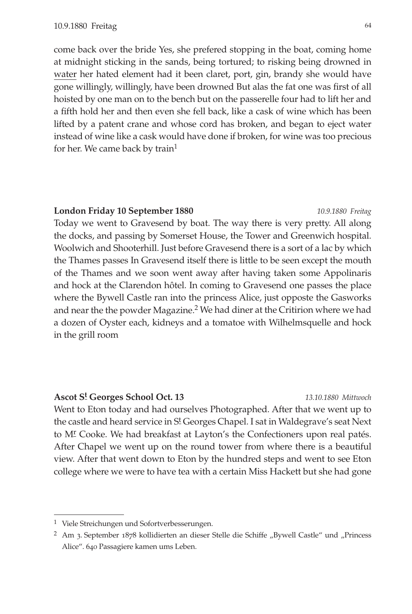come back over the bride Yes, she prefered stopping in the boat, coming home at midnight sticking in the sands, being tortured; to risking being drowned in water her hated element had it been claret, port, gin, brandy she would have gone willingly, willingly, have been drowned But alas the fat one was first of all hoisted by one man on to the bench but on the passerelle four had to lift her and a fifth hold her and then even she fell back, like a cask of wine which has been lifted by a patent crane and whose cord has broken, and began to eject water instead of wine like a cask would have done if broken, for wine was too precious for her. We came back by train<sup>1</sup>

## **London Friday 10 September 1880** *10.9.1880 Freitag*

Today we went to Gravesend by boat. The way there is very pretty. All along the docks, and passing by Somerset House, the Tower and Greenwich hospital. Woolwich and Shooterhill. Just before Gravesend there is a sort of a lac by which the Thames passes In Gravesend itself there is little to be seen except the mouth of the Thames and we soon went away after having taken some Appolinaris and hock at the Clarendon hôtel. In coming to Gravesend one passes the place where the Bywell Castle ran into the princess Alice, just opposte the Gasworks and near the the powder Magazine.<sup>2</sup> We had diner at the Critirion where we had a dozen of Oyster each, kidneys and a tomatoe with Wilhelmsquelle and hock in the grill room

# **Ascot St Georges School Oct. 13** *13.10.1880 Mittwoch*

Went to Eton today and had ourselves Photographed. After that we went up to the castle and heard service in S<sup>t</sup> Georges Chapel. I sat in Waldegrave's seat Next to M<sup>r</sup> Cooke. We had breakfast at Layton's the Confectioners upon real patés. After Chapel we went up on the round tower from where there is a beautiful view. After that went down to Eton by the hundred steps and went to see Eton college where we were to have tea with a certain Miss Hackett but she had gone

<sup>1</sup> Viele Streichungen und Sofortverbesserungen.

 $2$  Am 3. September 1878 kollidierten an dieser Stelle die Schiffe "Bywell Castle" und "Princess Alice". 640 Passagiere kamen ums Leben.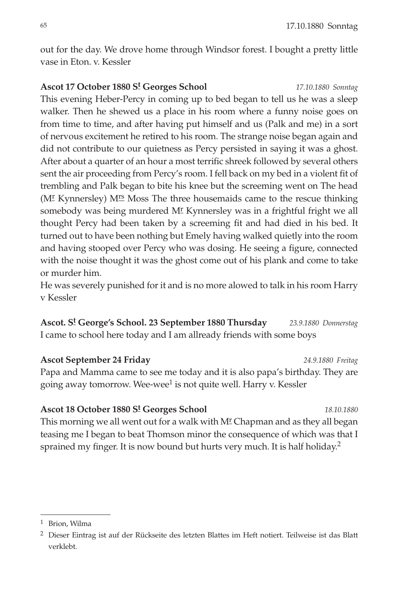out for the day. We drove home through Windsor forest. I bought a pretty little vase in Eton. v. Kessler

**Ascot 17 October 1880 St Georges School** *17.10.1880 Sonntag* This evening Heber-Percy in coming up to bed began to tell us he was a sleep walker. Then he shewed us a place in his room where a funny noise goes on from time to time, and after having put himself and us (Palk and me) in a sort of nervous excitement he retired to his room. The strange noise began again and did not contribute to our quietness as Percy persisted in saying it was a ghost. After about a quarter of an hour a most terrific shreek followed by several others sent the air proceeding from Percy's room. I fell back on my bed in a violent fit of trembling and Palk began to bite his knee but the screeming went on The head (M<sup>r</sup> Kynnersley) M<sup>rs</sup> Moss The three housemaids came to the rescue thinking somebody was being murdered M<sup>r</sup> Kynnersley was in a frightful fright we all thought Percy had been taken by a screeming fit and had died in his bed. It turned out to have been nothing but Emely having walked quietly into the room and having stooped over Percy who was dosing. He seeing a figure, connected with the noise thought it was the ghost come out of his plank and come to take or murder him.

He was severely punished for it and is no more alowed to talk in his room Harry v Kessler

**Ascot. St George's School. 23 September 1880 Thursday** *23.9.1880 Donnerstag* I came to school here today and I am allready friends with some boys

**Ascot September 24 Friday** *24.9.1880 Freitag* Papa and Mamma came to see me today and it is also papa's birthday. They are going away tomorrow. Wee-wee<sup>1</sup> is not quite well. Harry v. Kessler

**Ascot 18 October 1880 St Georges School** *18.10.1880* This morning we all went out for a walk with M<sup>r</sup> Chapman and as they all began teasing me I began to beat Thomson minor the consequence of which was that I sprained my finger. It is now bound but hurts very much. It is half holiday.<sup>2</sup>

<sup>1</sup> Brion, Wilma

<sup>&</sup>lt;sup>2</sup> Dieser Eintrag ist auf der Rückseite des letzten Blattes im Heft notiert. Teilweise ist das Blatt verklebt.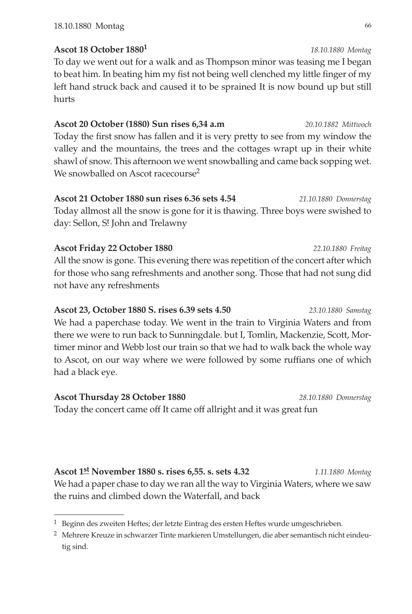# **Ascot 18 October 18801** *18.10.1880 Montag*

To day we went out for a walk and as Thompson minor was teasing me I began to beat him. In beating him my fist not being well clenched my little finger of my left hand struck back and caused it to be sprained It is now bound up but still hurts

# **Ascot 20 October (1880) Sun rises 6,34 a.m** *20.10.1882 Mittwoch*

Today the first snow has fallen and it is very pretty to see from my window the valley and the mountains, the trees and the cottages wrapt up in their white shawl of snow. This afternoon we went snowballing and came back sopping wet. We snowballed on Ascot racecourse<sup>2</sup>

# **Ascot 21 October 1880 sun rises 6.36 sets 4.54** *21.10.1880 Donnerstag*

Today allmost all the snow is gone for it is thawing. Three boys were swished to day: Sellon, S! John and Trelawny

# **Ascot Friday 22 October 1880** *22.10.1880 Freitag* All the snow is gone. This evening there was repetition of the concert after which for those who sang refreshments and another song. Those that had not sung did not have any refreshments

# **Ascot 23, October 1880 S. rises 6.39 sets 4.50** *23.10.1880 Samstag* We had a paperchase today. We went in the train to Virginia Waters and from there we were to run back to Sunningdale. but I, Tomlin, Mackenzie, Scott, Mortimer minor and Webb lost our train so that we had to walk back the whole way to Ascot, on our way where we were followed by some ruffians one of which had a black eye.

**Ascot Thursday 28 October 1880** *28.10.1880 Donnerstag* Today the concert came off It came off allright and it was great fun

**Ascot 1st November 1880 s. rises 6,55. s. sets 4.32** *1.11.1880 Montag* We had a paper chase to day we ran all the way to Virginia Waters, where we saw the ruins and climbed down the Waterfall, and back

<sup>&</sup>lt;sup>1</sup> Beginn des zweiten Heftes; der letzte Eintrag des ersten Heftes wurde umgeschrieben.

<sup>2</sup> Mehrere Kreuze in schwarzer Tinte markieren Umstellungen, die aber semantisch nicht eindeutig sind.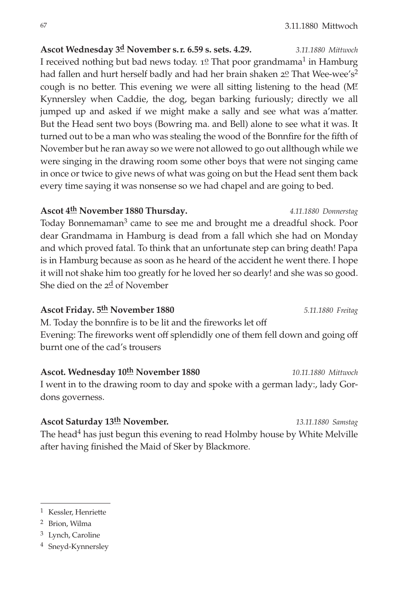**Ascot Wednesday 3d November s.r. 6.59 s. sets. 4.29.** *3.11.1880 Mittwoch* I received nothing but bad news today.  $1^{\circ}$  That poor grandmama<sup>1</sup> in Hamburg had fallen and hurt herself badly and had her brain shaken  $2^{\circ}$  That Wee-wee's<sup>2</sup> cough is no better. This evening we were all sitting listening to the head (M<sup>r</sup> Kynnersley when Caddie, the dog, began barking furiously; directly we all jumped up and asked if we might make a sally and see what was a'matter. But the Head sent two boys (Bowring ma. and Bell) alone to see what it was. It turned out to be a man who was stealing the wood of the Bonnfire for the fifth of November but he ran away so we were not allowed to go out allthough while we were singing in the drawing room some other boys that were not singing came in once or twice to give news of what was going on but the Head sent them back every time saying it was nonsense so we had chapel and are going to bed.

# **Ascot 4th November 1880 Thursday.** *4.11.1880 Donnerstag*

Today Bonnemaman3 came to see me and brought me a dreadful shock. Poor dear Grandmama in Hamburg is dead from a fall which she had on Monday and which proved fatal. To think that an unfortunate step can bring death! Papa is in Hamburg because as soon as he heard of the accident he went there. I hope it will not shake him too greatly for he loved her so dearly! and she was so good. She died on the  $2\frac{d}{d}$  of November

# **Ascot Friday. 5th November 1880** *5.11.1880 Freitag*

M. Today the bonnfire is to be lit and the fireworks let off Evening: The fireworks went off splendidly one of them fell down and going off burnt one of the cad's trousers

**Ascot. Wednesday 10th November 1880** *10.11.1880 Mittwoch* I went in to the drawing room to day and spoke with a german lady:, lady Gordons governess.

**Ascot Saturday 13th November.** *13.11.1880 Samstag* The head<sup>4</sup> has just begun this evening to read Holmby house by White Melville after having finished the Maid of Sker by Blackmore.

- 2 Brion, Wilma
- 3 Lynch, Caroline
- 4 Sneyd-Kynnersley

<sup>1</sup> Kessler, Henriette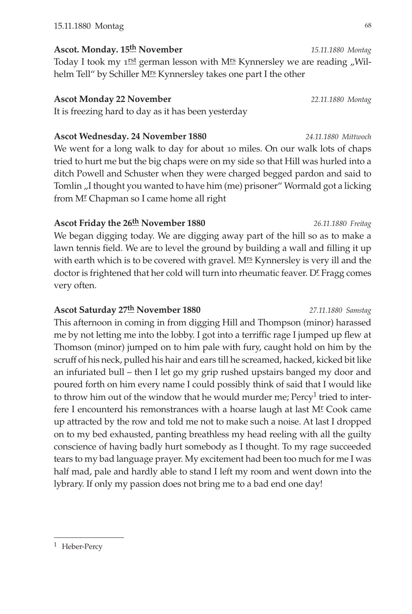**Ascot. Monday. 15th November** *15.11.1880 Montag* Today I took my  $1^{rst}$  german lesson with M<sup>rs</sup> Kynnersley we are reading "Wilhelm Tell" by Schiller M<sup>rs</sup> Kynnersley takes one part I the other

# **Ascot Monday 22 November** *22.11.1880 Montag*

It is freezing hard to day as it has been yesterday

# **Ascot Wednesday. 24 November 1880** *24.11.1880 Mittwoch*

We went for a long walk to day for about 10 miles. On our walk lots of chaps tried to hurt me but the big chaps were on my side so that Hill was hurled into a ditch Powell and Schuster when they were charged begged pardon and said to Tomlin "I thought you wanted to have him (me) prisoner" Wormald got a licking from M<sup>I</sup> Chapman so I came home all right

# **Ascot Friday the 26th November 1880** *26.11.1880 Freitag*

We began digging today. We are digging away part of the hill so as to make a lawn tennis field. We are to level the ground by building a wall and filling it up with earth which is to be covered with gravel.  $M^{rs}$  Kynnersley is very ill and the doctor is frightened that her cold will turn into rheumatic feaver. DE Fragg comes very often.

# **Ascot Saturday 27th November 1880** *27.11.1880 Samstag*

This afternoon in coming in from digging Hill and Thompson (minor) harassed me by not letting me into the lobby. I got into a terriffic rage I jumped up flew at Thomson (minor) jumped on to him pale with fury, caught hold on him by the scruff of his neck, pulled his hair and ears till he screamed, hacked, kicked bit like an infuriated bull – then I let go my grip rushed upstairs banged my door and poured forth on him every name I could possibly think of said that I would like to throw him out of the window that he would murder me;  $Percy<sup>1</sup>$  tried to interfere I encounterd his remonstrances with a hoarse laugh at last  $M<sup>r</sup>$  Cook came up attracted by the row and told me not to make such a noise. At last I dropped on to my bed exhausted, panting breathless my head reeling with all the guilty conscience of having badly hurt somebody as I thought. To my rage succeeded tears to my bad language prayer. My excitement had been too much for me I was half mad, pale and hardly able to stand I left my room and went down into the lybrary. If only my passion does not bring me to a bad end one day!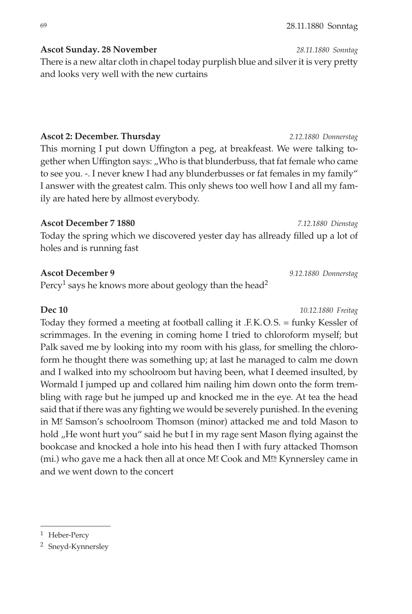**Ascot Sunday. 28 November** *28.11.1880 Sonntag*

There is a new altar cloth in chapel today purplish blue and silver it is very pretty and looks very well with the new curtains

# **Ascot 2: December. Thursday** *2.12.1880 Donnerstag*

This morning I put down Uffington a peg, at breakfeast. We were talking together when Uffington says: "Who is that blunderbuss, that fat female who came to see you. -. I never knew I had any blunderbusses or fat females in my family" I answer with the greatest calm. This only shews too well how I and all my family are hated here by allmost everybody.

# **Ascot December 7 1880** *7.12.1880 Dienstag*

Today the spring which we discovered yester day has allready filled up a lot of holes and is running fast

# **Ascot December 9** *9.12.1880 Donnerstag*

Percy<sup>1</sup> says he knows more about geology than the head<sup>2</sup>

# **Dec 10** *10.12.1880 Freitag*

Today they formed a meeting at football calling it .F.K.O.S. = funky Kessler of scrimmages. In the evening in coming home I tried to chloroform myself; but Palk saved me by looking into my room with his glass, for smelling the chloroform he thought there was something up; at last he managed to calm me down and I walked into my schoolroom but having been, what I deemed insulted, by Wormald I jumped up and collared him nailing him down onto the form trembling with rage but he jumped up and knocked me in the eye. At tea the head said that if there was any fighting we would be severely punished. In the evening in Mr Samson's schoolroom Thomson (minor) attacked me and told Mason to hold "He wont hurt you" said he but I in my rage sent Mason flying against the bookcase and knocked a hole into his head then I with fury attacked Thomson (mi.) who gave me a hack then all at once  $M<sup>r</sup>$  Cook and  $M<sup>rs</sup>$  Kynnersley came in and we went down to the concert

<sup>1</sup> Heber-Percy

<sup>2</sup> Sneyd-Kynnersley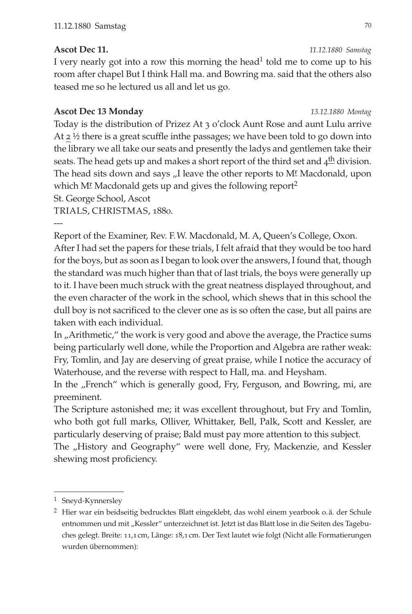# **Ascot Dec 11.** *11.12.1880 Samstag*

I very nearly got into a row this morning the head<sup>1</sup> told me to come up to his room after chapel But I think Hall ma. and Bowring ma. said that the others also teased me so he lectured us all and let us go.

# **Ascot Dec 13 Monday** *13.12.1880 Montag*

Today is the distribution of Prizez At 3 o'clock Aunt Rose and aunt Lulu arrive At 2 ½ there is a great scuffle inthe passages; we have been told to go down into the library we all take our seats and presently the ladys and gentlemen take their seats. The head gets up and makes a short report of the third set and  $4<sup>th</sup>$  division. The head sits down and says "I leave the other reports to M<sup>r</sup> Macdonald, upon which  $M<sup>r</sup>$  Macdonald gets up and gives the following report<sup>2</sup>

St. George School, Ascot

TRIALS, CHRISTMAS, 1880.

---

Report of the Examiner, Rev. F.W. Macdonald, M. A, Queen's College, Oxon.

After I had set the papers for these trials, I felt afraid that they would be too hard for the boys, but as soon as I began to look over the answers, I found that, though the standard was much higher than that of last trials, the boys were generally up to it. I have been much struck with the great neatness displayed throughout, and the even character of the work in the school, which shews that in this school the dull boy is not sacrificed to the clever one as is so often the case, but all pains are taken with each individual.

In "Arithmetic," the work is very good and above the average, the Practice sums being particularly well done, while the Proportion and Algebra are rather weak: Fry, Tomlin, and Jay are deserving of great praise, while I notice the accuracy of Waterhouse, and the reverse with respect to Hall, ma. and Heysham.

In the "French" which is generally good, Fry, Ferguson, and Bowring, mi, are preeminent.

The Scripture astonished me; it was excellent throughout, but Fry and Tomlin, who both got full marks, Olliver, Whittaker, Bell, Palk, Scott and Kessler, are particularly deserving of praise; Bald must pay more attention to this subject.

The "History and Geography" were well done, Fry, Mackenzie, and Kessler shewing most proficiency.

<sup>1</sup> Sneyd-Kynnersley

<sup>2</sup> Hier war ein beidseitig bedrucktes Blatt eingeklebt, das wohl einem yearbook o.ä. der Schule entnommen und mit "Kessler" unterzeichnet ist. Jetzt ist das Blatt lose in die Seiten des Tagebuches gelegt. Breite: 11,1cm, Länge: 18,1cm. Der Text lautet wie folgt (Nicht alle Formatierungen wurden übernommen):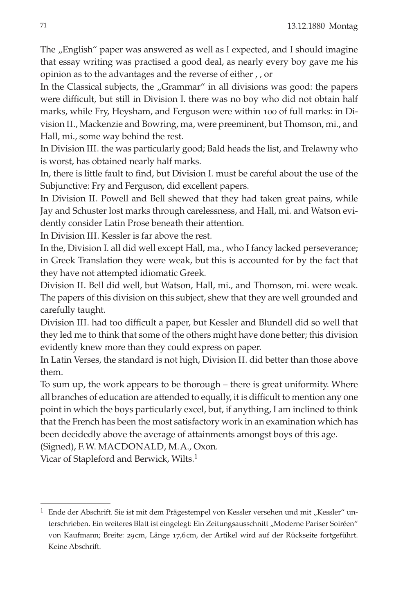The "English" paper was answered as well as I expected, and I should imagine that essay writing was practised a good deal, as nearly every boy gave me his opinion as to the advantages and the reverse of either , , or

In the Classical subjects, the "Grammar" in all divisions was good: the papers were difficult, but still in Division I. there was no boy who did not obtain half marks, while Fry, Heysham, and Ferguson were within 100 of full marks: in Division II., Mackenzie and Bowring, ma, were preeminent, but Thomson, mi., and Hall, mi., some way behind the rest.

In Division III. the was particularly good; Bald heads the list, and Trelawny who is worst, has obtained nearly half marks.

In, there is little fault to find, but Division I. must be careful about the use of the Subjunctive: Fry and Ferguson, did excellent papers.

In Division II. Powell and Bell shewed that they had taken great pains, while Jay and Schuster lost marks through carelessness, and Hall, mi. and Watson evidently consider Latin Prose beneath their attention.

In Division III. Kessler is far above the rest.

In the, Division I. all did well except Hall, ma., who I fancy lacked perseverance; in Greek Translation they were weak, but this is accounted for by the fact that they have not attempted idiomatic Greek.

Division II. Bell did well, but Watson, Hall, mi., and Thomson, mi. were weak. The papers of this division on this subject, shew that they are well grounded and carefully taught.

Division III. had too difficult a paper, but Kessler and Blundell did so well that they led me to think that some of the others might have done better; this division evidently knew more than they could express on paper.

In Latin Verses, the standard is not high, Division II. did better than those above them.

To sum up, the work appears to be thorough – there is great uniformity. Where all branches of education are attended to equally, it is difficult to mention any one point in which the boys particularly excel, but, if anything, I am inclined to think that the French has been the most satisfactory work in an examination which has been decidedly above the average of attainments amongst boys of this age.

(Signed), F.W. MACDONALD, M.A., Oxon.

Vicar of Stapleford and Berwick, Wilts.1

 $1$  Ende der Abschrift. Sie ist mit dem Prägestempel von Kessler versehen und mit "Kessler" unterschrieben. Ein weiteres Blatt ist eingelegt: Ein Zeitungsausschnitt "Moderne Pariser Soiréen" von Kaufmann; Breite: 29cm, Länge 17,6cm, der Artikel wird auf der Rückseite fortgeführt. Keine Abschrift.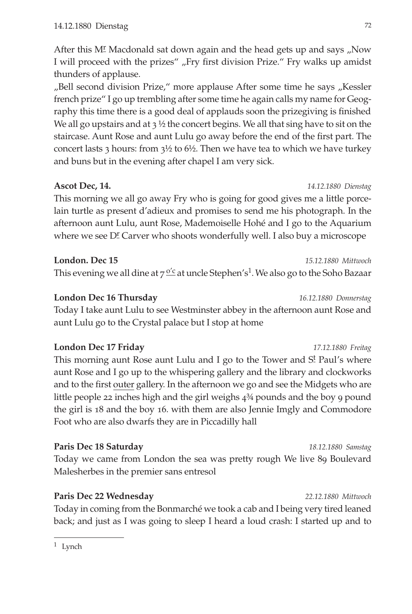After this M<sup>I</sup> Macdonald sat down again and the head gets up and says "Now I will proceed with the prizes" "Fry first division Prize." Fry walks up amidst thunders of applause.

"Bell second division Prize," more applause After some time he says "Kessler french prize" I go up trembling after some time he again calls my name for Geography this time there is a good deal of applauds soon the prizegiving is finished We all go upstairs and at 3 ½ the concert begins. We all that sing have to sit on the staircase. Aunt Rose and aunt Lulu go away before the end of the first part. The concert lasts 3 hours: from  $3\frac{1}{2}$  to  $6\frac{1}{2}$ . Then we have tea to which we have turkey and buns but in the evening after chapel I am very sick.

# **Ascot Dec, 14.** *14.12.1880 Dienstag*

This morning we all go away Fry who is going for good gives me a little porcelain turtle as present d'adieux and promises to send me his photograph. In the afternoon aunt Lulu, aunt Rose, Mademoiselle Hohé and I go to the Aquarium where we see D<sup>r</sup> Carver who shoots wonderfully well. I also buy a microscope

**London. Dec 15** *15.12.1880 Mittwoch* This evening we all dine at  $7\frac{0}{c}$  at uncle Stephen's<sup>1</sup>. We also go to the Soho Bazaar

**London Dec 16 Thursday** *16.12.1880 Donnerstag* Today I take aunt Lulu to see Westminster abbey in the afternoon aunt Rose and aunt Lulu go to the Crystal palace but I stop at home

# **London Dec 17 Friday** *17.12.1880 Freitag*

This morning aunt Rose aunt Lulu and I go to the Tower and S<sup>t</sup> Paul's where aunt Rose and I go up to the whispering gallery and the library and clockworks and to the first outer gallery. In the afternoon we go and see the Midgets who are little people 22 inches high and the girl weighs 4¾ pounds and the boy 9 pound the girl is 18 and the boy 16. with them are also Jennie Imgly and Commodore Foot who are also dwarfs they are in Piccadilly hall

# **Paris Dec 18 Saturday** *18.12.1880 Samstag*

Today we came from London the sea was pretty rough We live 89 Boulevard Malesherbes in the premier sans entresol

# **Paris Dec 22 Wednesday** *22.12.1880 Mittwoch*

Today in coming from the Bonmarché we took a cab and I being very tired leaned back; and just as I was going to sleep I heard a loud crash: I started up and to